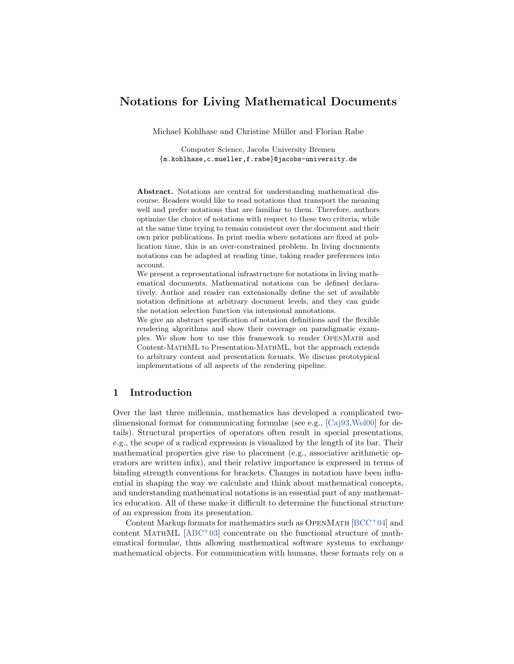# Notations for Living Mathematical Documents

Michael Kohlhase and Christine Müller and Florian Rabe

Computer Science, Jacobs University Bremen {m.kohlhase,c.mueller,f.rabe}@jacobs-university.de

Abstract. Notations are central for understanding mathematical discourse. Readers would like to read notations that transport the meaning well and prefer notations that are familiar to them. Therefore, authors optimize the choice of notations with respect to these two criteria, while at the same time trying to remain consistent over the document and their own prior publications. In print media where notations are fixed at publication time, this is an over-constrained problem. In living documents notations can be adapted at reading time, taking reader preferences into account.

We present a representational infrastructure for notations in living mathematical documents. Mathematical notations can be defined declaratively. Author and reader can extensionally define the set of available notation definitions at arbitrary document levels, and they can guide the notation selection function via intensional annotations.

We give an abstract specification of notation definitions and the flexible rendering algorithms and show their coverage on paradigmatic examples. We show how to use this framework to render OpenMath and Content-MathML to Presentation-MathML, but the approach extends to arbitrary content and presentation formats. We discuss prototypical implementations of all aspects of the rendering pipeline.

## 1 Introduction

Over the last three millennia, mathematics has developed a complicated twodimensional format for communicating formulae (see e.g., [\[Caj93,](#page-14-0)[Wol00\]](#page-15-0) for details). Structural properties of operators often result in special presentations, e.g., the scope of a radical expression is visualized by the length of its bar. Their mathematical properties give rise to placement (e.g., associative arithmetic operators are written infix), and their relative importance is expressed in terms of binding strength conventions for brackets. Changes in notation have been influential in shaping the way we calculate and think about mathematical concepts, and understanding mathematical notations is an essential part of any mathematics education. All of these make it difficult to determine the functional structure of an expression from its presentation.

Content Markup formats for mathematics such as  $\text{OPENMATH}$  [\[BCC](#page-14-1)+04] and content MATHML  $[ABC^+03]$  $[ABC^+03]$  concentrate on the functional structure of mathematical formulae, thus allowing mathematical software systems to exchange mathematical objects. For communication with humans, these formats rely on a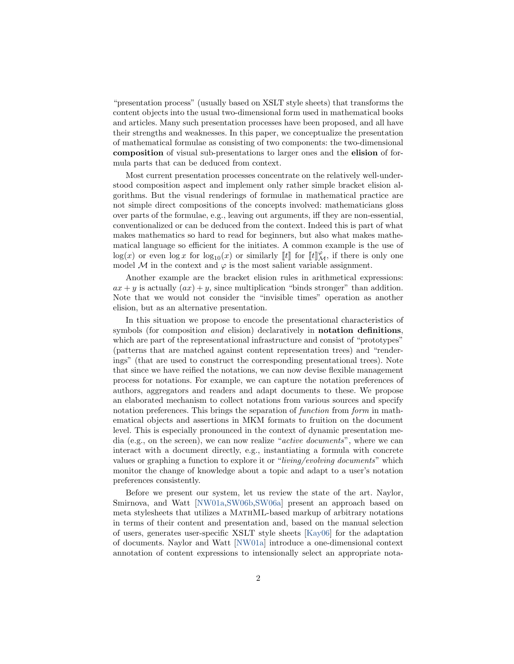"presentation process" (usually based on XSLT style sheets) that transforms the content objects into the usual two-dimensional form used in mathematical books and articles. Many such presentation processes have been proposed, and all have their strengths and weaknesses. In this paper, we conceptualize the presentation of mathematical formulae as consisting of two components: the two-dimensional composition of visual sub-presentations to larger ones and the elision of formula parts that can be deduced from context.

Most current presentation processes concentrate on the relatively well-understood composition aspect and implement only rather simple bracket elision algorithms. But the visual renderings of formulae in mathematical practice are not simple direct compositions of the concepts involved: mathematicians gloss over parts of the formulae, e.g., leaving out arguments, iff they are non-essential, conventionalized or can be deduced from the context. Indeed this is part of what makes mathematics so hard to read for beginners, but also what makes mathematical language so efficient for the initiates. A common example is the use of  $\log(x)$  or even  $\log x$  for  $\log_{10}(x)$  or similarly [t] for [t] $\mathcal{H}$ , if there is only one model M in the context and  $\varphi$  is the most salient variable assignment.

Another example are the bracket elision rules in arithmetical expressions:  $ax + y$  is actually  $(ax) + y$ , since multiplication "binds stronger" than addition. Note that we would not consider the "invisible times" operation as another elision, but as an alternative presentation.

In this situation we propose to encode the presentational characteristics of symbols (for composition *and* elision) declaratively in **notation definitions**, which are part of the representational infrastructure and consist of "prototypes" (patterns that are matched against content representation trees) and "renderings" (that are used to construct the corresponding presentational trees). Note that since we have reified the notations, we can now devise flexible management process for notations. For example, we can capture the notation preferences of authors, aggregators and readers and adapt documents to these. We propose an elaborated mechanism to collect notations from various sources and specify notation preferences. This brings the separation of *function* from *form* in mathematical objects and assertions in MKM formats to fruition on the document level. This is especially pronounced in the context of dynamic presentation media (e.g., on the screen), we can now realize "active documents", where we can interact with a document directly, e.g., instantiating a formula with concrete values or graphing a function to explore it or "living/evolving documents" which monitor the change of knowledge about a topic and adapt to a user's notation preferences consistently.

Before we present our system, let us review the state of the art. Naylor, Smirnova, and Watt [\[NW01a](#page-15-1)[,SW06b](#page-15-2)[,SW06a\]](#page-15-3) present an approach based on meta stylesheets that utilizes a MathML-based markup of arbitrary notations in terms of their content and presentation and, based on the manual selection of users, generates user-specific XSLT style sheets [\[Kay06\]](#page-14-3) for the adaptation of documents. Naylor and Watt [\[NW01a\]](#page-15-1) introduce a one-dimensional context annotation of content expressions to intensionally select an appropriate nota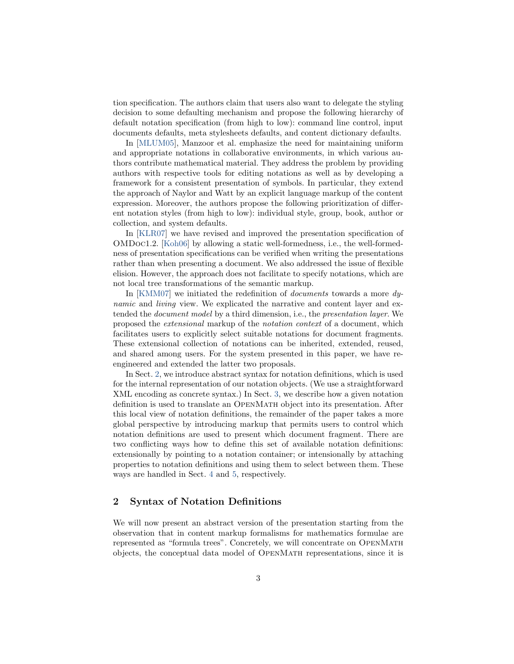tion specification. The authors claim that users also want to delegate the styling decision to some defaulting mechanism and propose the following hierarchy of default notation specification (from high to low): command line control, input documents defaults, meta stylesheets defaults, and content dictionary defaults.

In [\[MLUM05\]](#page-15-4), Manzoor et al. emphasize the need for maintaining uniform and appropriate notations in collaborative environments, in which various authors contribute mathematical material. They address the problem by providing authors with respective tools for editing notations as well as by developing a framework for a consistent presentation of symbols. In particular, they extend the approach of Naylor and Watt by an explicit language markup of the content expression. Moreover, the authors propose the following prioritization of different notation styles (from high to low): individual style, group, book, author or collection, and system defaults.

In [\[KLR07\]](#page-15-5) we have revised and improved the presentation specification of OMDoc1.2. [\[Koh06\]](#page-15-6) by allowing a static well-formedness, i.e., the well-formedness of presentation specifications can be verified when writing the presentations rather than when presenting a document. We also addressed the issue of flexible elision. However, the approach does not facilitate to specify notations, which are not local tree transformations of the semantic markup.

In [\[KMM07\]](#page-15-7) we initiated the redefinition of documents towards a more dynamic and living view. We explicated the narrative and content layer and extended the document model by a third dimension, i.e., the presentation layer. We proposed the extensional markup of the notation context of a document, which facilitates users to explicitly select suitable notations for document fragments. These extensional collection of notations can be inherited, extended, reused, and shared among users. For the system presented in this paper, we have reengineered and extended the latter two proposals.

In Sect. [2,](#page-2-0) we introduce abstract syntax for notation definitions, which is used for the internal representation of our notation objects. (We use a straightforward XML encoding as concrete syntax.) In Sect. [3,](#page-6-0) we describe how a given notation definition is used to translate an OpenMath object into its presentation. After this local view of notation definitions, the remainder of the paper takes a more global perspective by introducing markup that permits users to control which notation definitions are used to present which document fragment. There are two conflicting ways how to define this set of available notation definitions: extensionally by pointing to a notation container; or intensionally by attaching properties to notation definitions and using them to select between them. These ways are handled in Sect. [4](#page-8-0) and [5,](#page-11-0) respectively.

## <span id="page-2-0"></span>2 Syntax of Notation Definitions

We will now present an abstract version of the presentation starting from the observation that in content markup formalisms for mathematics formulae are represented as "formula trees". Concretely, we will concentrate on OpenMath objects, the conceptual data model of OpenMath representations, since it is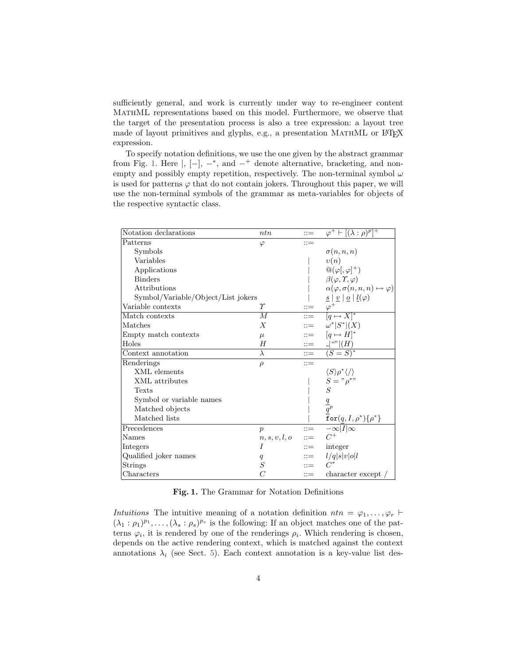sufficiently general, and work is currently under way to re-engineer content MathML representations based on this model. Furthermore, we observe that the target of the presentation process is also a tree expression: a layout tree made of layout primitives and glyphs, e.g., a presentation MATHML or LATEX expression.

To specify notation definitions, we use the one given by the abstract grammar from Fig. [1.](#page-3-0) Here  $\vert, \vert - \vert, -^*$ , and  $-^+$  denote alternative, bracketing, and nonempty and possibly empty repetition, respectively. The non-terminal symbol  $\omega$ is used for patterns  $\varphi$  that do not contain jokers. Throughout this paper, we will use the non-terminal symbols of the grammar as meta-variables for objects of the respective syntactic class.

| Notation declarations              | ntn              | $::=$                 | $\varphi^+ \vdash [(\lambda : \rho)^p]^+$                                |
|------------------------------------|------------------|-----------------------|--------------------------------------------------------------------------|
| Patterns                           | $\varphi$        | $::=$                 |                                                                          |
| Symbols                            |                  |                       | $\sigma(n,n,n)$                                                          |
| Variables                          |                  |                       | v(n)                                                                     |
| Applications                       |                  |                       | $\mathbb{Q}(\varphi[,\varphi]^{+})$                                      |
| <b>Binders</b>                     |                  |                       | $\beta(\varphi, \varUpsilon, \varphi)$                                   |
| Attributions                       |                  |                       | $\alpha(\varphi, \sigma(n,n,n) \mapsto \varphi)$                         |
| Symbol/Variable/Object/List jokers |                  |                       | $\underline{s}   \underline{v}   \underline{o}   \underline{l}(\varphi)$ |
| Variable contexts                  | Υ                | $\mathrel{\mathop:}=$ | $\varphi^+$                                                              |
| Match contexts                     | $\boldsymbol{M}$ |                       | $\frac{1}{\cdots}$ $\frac{1}{[q \mapsto X]^*}$                           |
| Matches                            | $\boldsymbol{X}$ |                       | $\therefore = \omega^*  S^* (X)$                                         |
| Empty match contexts               | $\mu$            |                       | $ ::= \left[ q \mapsto H \right]^*$                                      |
| Holes                              | H                |                       | $\frac{::=$ $- ^{(iv)} (H)}{::=$ $(S = S)^*$                             |
| Context annotation                 | $\lambda$        |                       |                                                                          |
| Renderings                         | $\rho$           | $::=$                 |                                                                          |
| XML elements                       |                  |                       | $\langle S \rangle \rho^* \langle \rangle$                               |
| XML attributes                     |                  |                       | $S = " \rho^{*} "$                                                       |
| Texts                              |                  |                       | $\boldsymbol{S}$                                                         |
| Symbol or variable names           |                  |                       |                                                                          |
| Matched objects                    |                  |                       | $\frac{q}{q^p}$                                                          |
| Matched lists                      |                  |                       | $\overline{\texttt{for}(\underline{q},I,\rho^*)\{\rho^*\}}$              |
| Precedences                        | $\boldsymbol{p}$ | $\mathrel{\mathop:}=$ | $\overline{-\infty I} \infty$                                            |
| Names                              | n, s, v, l, o    | $\mathbf{r} =$        | $\ensuremath{C^{+}}$                                                     |
| Integers                           | Ι                | $\mathbf{r} =$        | integer                                                                  |
| Qualified joker names              | q                | $\mathrel{\mathop:}=$ | l/q s v o l                                                              |
| Strings                            | $\cal S$         | $\mathrel{\mathop:}=$ | $C^*$                                                                    |
| ${\rm Characteristics}$            | $\mathcal C$     | $::=$                 | $character$ except $/$                                                   |

<span id="page-3-0"></span>Fig. 1. The Grammar for Notation Definitions

Intuitions The intuitive meaning of a notation definition  $ntn = \varphi_1, \ldots, \varphi_r$  $(\lambda_1 : \rho_1)^{p_1}, \ldots, (\lambda_s : \rho_s)^{p_s}$  is the following: If an object matches one of the patterns  $\varphi_i$ , it is rendered by one of the renderings  $\rho_i$ . Which rendering is chosen, depends on the active rendering context, which is matched against the context annotations  $\lambda_i$  (see Sect. [5\)](#page-11-0). Each context annotation is a key-value list des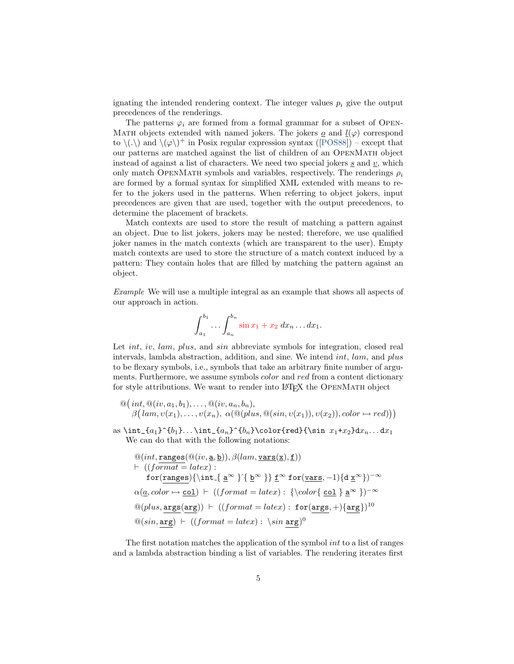ignating the intended rendering context. The integer values  $p_i$  give the output precedences of the renderings.

The patterns  $\varphi_i$  are formed from a formal grammar for a subset of OPEN-MATH objects extended with named jokers. The jokers  $\varrho$  and  $\ell(\varphi)$  correspond to  $\langle (\cdot) \rangle$  and  $\langle (\varphi) \rangle^+$  in Posix regular expression syntax ([\[POS88\]](#page-15-8)) – except that our patterns are matched against the list of children of an OpenMath object instead of against a list of characters. We need two special jokers  $s$  and  $v$ , which only match OPENMATH symbols and variables, respectively. The renderings  $\rho_i$ are formed by a formal syntax for simplified XML extended with means to refer to the jokers used in the patterns. When referring to object jokers, input precedences are given that are used, together with the output precedences, to determine the placement of brackets.

Match contexts are used to store the result of matching a pattern against an object. Due to list jokers, jokers may be nested; therefore, we use qualified joker names in the match contexts (which are transparent to the user). Empty match contexts are used to store the structure of a match context induced by a pattern: They contain holes that are filled by matching the pattern against an object.

Example We will use a multiple integral as an example that shows all aspects of our approach in action.

$$
\int_{a_1}^{b_1} \dots \int_{a_n}^{b_n} \sin x_1 + x_2 \, dx_n \dots dx_1.
$$

Let *int, iv, lam, plus,* and *sin* abbreviate symbols for integration, closed real intervals, lambda abstraction, addition, and sine. We intend int, lam, and plus to be flexary symbols, i.e., symbols that take an arbitrary finite number of arguments. Furthermore, we assume symbols *color* and red from a content dictionary for style attributions. We want to render into LAT<sub>F</sub>X the OPENMATH object

- $\mathcal{Q}(int, \mathcal{Q}(iv, a_1, b_1), \ldots, \mathcal{Q}(iv, a_n, b_n),$  $\beta(\text{lam}, \text{v}(x_1), \ldots, \text{v}(x_n), \ \alpha(\mathbb{Q}(\text{plus}, \mathbb{Q}(\text{sin}, \text{v}(x_1)), \text{v}(x_2)), \text{color} \mapsto \text{red}))$
- as \int\_{a<sub>1</sub>}^{b<sub>1</sub>}...\int\_{a<sub>n</sub>}^{b<sub>n</sub>}\color{red}{\sin  $x_1+x_2$ }d $x_n$ ...dx<sub>1</sub> We can do that with the following notations:

$$
@(int, \underline{range} @ (iv, \underline{a}, \underline{b})), \beta(lam, \underline{vars}(\underline{x}), \underline{f}))
$$
\n
$$
\vdash ((format = later) : \underline{arges}) {\int_t \underline{a}^\infty} {\int_t \underline{a}^\infty} {\int_t \underline{e}^\infty} {\int_t \underline{c}^\infty -1} d\underline{x}^\infty} -\alpha(\underline{a}, color \mapsto \underline{col}) \vdash ((format = later) : {\color{violet}\n{\color{red}color} {\underline{col}} \underline{a}^\infty})^{-\infty} \quad @(plus, \underline{args}(\underline{arg}) \vdash ((format = later) : \underline{args} + {\underline{arg}})^{10} \quad @(sin, \underline{arg}) \vdash ((format = later) : \sin \underline{arg})^0
$$

The first notation matches the application of the symbol int to a list of ranges and a lambda abstraction binding a list of variables. The rendering iterates first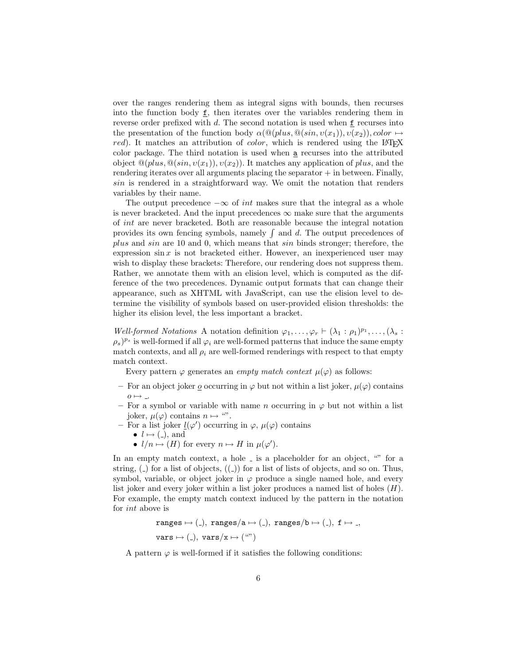over the ranges rendering them as integral signs with bounds, then recurses into the function body f, then iterates over the variables rendering them in reverse order prefixed with d. The second notation is used when f recurses into the presentation of the function body  $\alpha(\mathbb{Q}(plus, \mathbb{Q}(sin, v(x_1)), v(x_2)), color \mapsto$  $red$ ). It matches an attribution of *color*, which is rendered using the LAT<sub>E</sub>X color package. The third notation is used when a recurses into the attributed object  $\mathcal{Q}(plus, \mathcal{Q}(sin, v(x_1)), v(x_2))$ . It matches any application of plus, and the rendering iterates over all arguments placing the separator  $+$  in between. Finally, sin is rendered in a straightforward way. We omit the notation that renders variables by their name.

The output precedence  $-\infty$  of *int* makes sure that the integral as a whole is never bracketed. And the input precedences  $\infty$  make sure that the arguments of int are never bracketed. Both are reasonable because the integral notation provides its own fencing symbols, namely  $\int$  and d. The output precedences of plus and sin are 10 and 0, which means that sin binds stronger; therefore, the expression  $\sin x$  is not bracketed either. However, an inexperienced user may wish to display these brackets: Therefore, our rendering does not suppress them. Rather, we annotate them with an elision level, which is computed as the difference of the two precedences. Dynamic output formats that can change their appearance, such as XHTML with JavaScript, can use the elision level to determine the visibility of symbols based on user-provided elision thresholds: the higher its elision level, the less important a bracket.

Well-formed Notations A notation definition  $\varphi_1, \ldots, \varphi_r \vdash (\lambda_1 : \rho_1)^{p_1}, \ldots, (\lambda_s :$  $(\rho_s)^{p_s}$  is well-formed if all  $\varphi_i$  are well-formed patterns that induce the same empty match contexts, and all  $\rho_i$  are well-formed renderings with respect to that empty match context.

Every pattern  $\varphi$  generates an *empty match context*  $\mu(\varphi)$  as follows:

- For an object joker  $\varrho$  occurring in  $\varphi$  but not within a list joker,  $\mu(\varphi)$  contains  $\overline{o} \mapsto \overline{a}$ .
- For a symbol or variable with name n occurring in  $\varphi$  but not within a list joker,  $\mu(\varphi)$  contains  $n \mapsto$  "".
- For a list joker  $\underline{l}(\varphi')$  occurring in  $\varphi$ ,  $\mu(\varphi)$  contains
	- $l \mapsto ($ , and
	- $l/n \mapsto (H)$  for every  $n \mapsto H$  in  $\mu(\varphi')$ .

In an empty match context, a hole  $\overline{\ }$  is a placeholder for an object, "" for a string,  $($ .) for a list of objects,  $((_$ ) for a list of lists of objects, and so on. Thus, symbol, variable, or object joker in  $\varphi$  produce a single named hole, and every list joker and every joker within a list joker produces a named list of holes  $(H)$ . For example, the empty match context induced by the pattern in the notation for int above is

$$
\verb!ranges! \mapsto (\_),\;\verb!ranges! \mapsto (\_),\;\verb!ranges! \mapsto (\_),\;\verb!fnages! \mapsto (\_),\;f \mapsto \_,\;\verb!vars! \mapsto (\_),\;\verb!vars! \mapsto (\cdots)
$$

A pattern  $\varphi$  is well-formed if it satisfies the following conditions: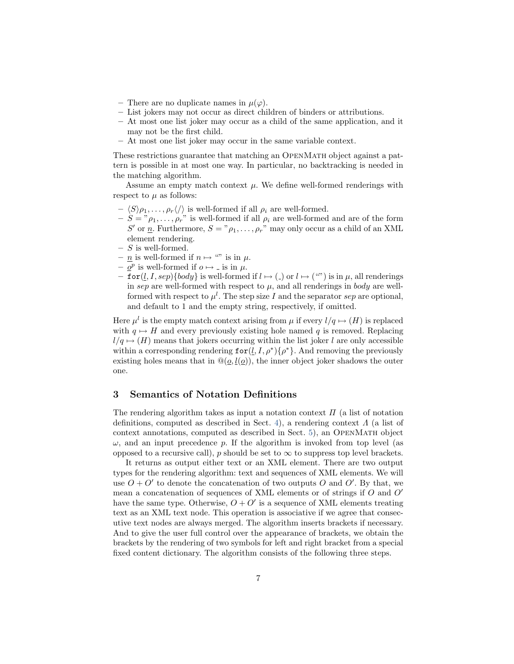- There are no duplicate names in  $\mu(\varphi)$ .
- List jokers may not occur as direct children of binders or attributions.
- At most one list joker may occur as a child of the same application, and it may not be the first child.
- At most one list joker may occur in the same variable context.

These restrictions guarantee that matching an OpenMath object against a pattern is possible in at most one way. In particular, no backtracking is needed in the matching algorithm.

Assume an empty match context  $\mu$ . We define well-formed renderings with respect to  $\mu$  as follows:

- $-\langle S\rangle\rho_1, \ldots, \rho_r\langle\prime\rangle$  is well-formed if all  $\rho_i$  are well-formed.
- $-S = \sum_{i=1}^{N} \rho_1, \ldots, \rho_r$ " is well-formed if all  $\rho_i$  are well-formed and are of the form S' or <u>n</u>. Furthermore,  $S = "p_1, \ldots, p_r"$  may only occur as a child of an XML element rendering.
- $S$  is well-formed.
- <u>n</u> is well-formed if  $n \mapsto$  "" is in  $\mu$ .
- $-\underline{\mathbf{o}}^p$  is well-formed if  $\mathbf{o} \mapsto \underline{\ }$  is in  $\mu$ .
- $-$  for $(l, I, sep)$ {body} is well-formed if  $l \mapsto ($ ) or  $l \mapsto ($ <sup>("")</sup>) is in  $\mu$ , all renderings in sep are well-formed with respect to  $\mu$ , and all renderings in body are wellformed with respect to  $\mu^l$ . The step size I and the separator sep are optional, and default to 1 and the empty string, respectively, if omitted.

Here  $\mu^{l}$  is the empty match context arising from  $\mu$  if every  $l/q \mapsto (H)$  is replaced with  $q \mapsto H$  and every previously existing hole named q is removed. Replacing  $l/q \mapsto (H)$  means that jokers occurring within the list joker l are only accessible within a corresponding rendering  $\text{for}(\underline{l},I,\rho^*)\{\rho^*\}$ . And removing the previously existing holes means that in  $\mathbb{Q}(\underline{o}, \underline{l}(\underline{o}))$ , the inner object joker shadows the outer one.

## <span id="page-6-0"></span>3 Semantics of Notation Definitions

The rendering algorithm takes as input a notation context  $\Pi$  (a list of notation definitions, computed as described in Sect. [4\)](#page-8-0), a rendering context  $\Lambda$  (a list of context annotations, computed as described in Sect. [5\)](#page-11-0), an OpenMath object  $\omega$ , and an input precedence p. If the algorithm is invoked from top level (as opposed to a recursive call), p should be set to  $\infty$  to suppress top level brackets.

It returns as output either text or an XML element. There are two output types for the rendering algorithm: text and sequences of XML elements. We will use  $O + O'$  to denote the concatenation of two outputs O and O'. By that, we mean a concatenation of sequences of XML elements or of strings if  $O$  and  $O'$ have the same type. Otherwise,  $O + O'$  is a sequence of XML elements treating text as an XML text node. This operation is associative if we agree that consecutive text nodes are always merged. The algorithm inserts brackets if necessary. And to give the user full control over the appearance of brackets, we obtain the brackets by the rendering of two symbols for left and right bracket from a special fixed content dictionary. The algorithm consists of the following three steps.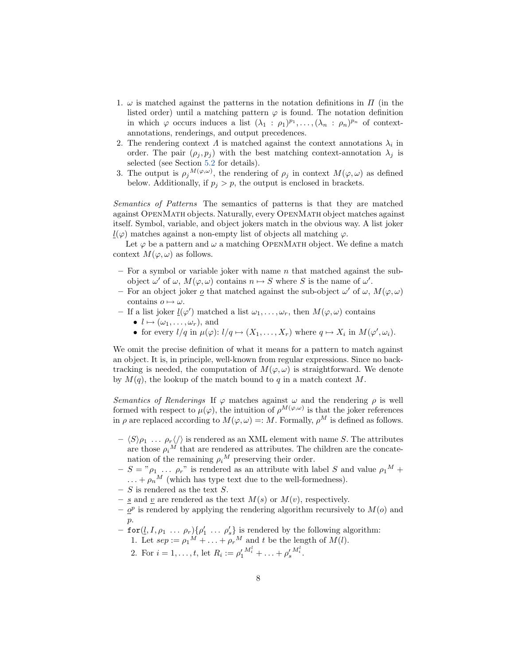- 1.  $\omega$  is matched against the patterns in the notation definitions in  $\Pi$  (in the listed order) until a matching pattern  $\varphi$  is found. The notation definition in which  $\varphi$  occurs induces a list  $(\lambda_1 : \rho_1)^{p_1}, \ldots, (\lambda_n : \rho_n)^{p_n}$  of contextannotations, renderings, and output precedences.
- 2. The rendering context  $\Lambda$  is matched against the context annotations  $\lambda_i$  in order. The pair  $(\rho_i, p_j)$  with the best matching context-annotation  $\lambda_i$  is selected (see Section [5.2](#page-13-0) for details).
- 3. The output is  $\rho_j^{M(\varphi,\omega)}$ , the rendering of  $\rho_j$  in context  $M(\varphi,\omega)$  as defined below. Additionally, if  $p_j > p$ , the output is enclosed in brackets.

Semantics of Patterns The semantics of patterns is that they are matched against OpenMath objects. Naturally, every OpenMath object matches against itself. Symbol, variable, and object jokers match in the obvious way. A list joker  $l(\varphi)$  matches against a non-empty list of objects all matching  $\varphi$ .

Let  $\varphi$  be a pattern and  $\omega$  a matching OPENMATH object. We define a match context  $M(\varphi, \omega)$  as follows.

- For a symbol or variable joker with name  $n$  that matched against the subobject  $\omega'$  of  $\omega$ ,  $M(\varphi, \omega)$  contains  $n \mapsto S$  where S is the name of  $\omega'$ .
- For an object joker  $\varrho$  that matched against the sub-object  $\omega'$  of  $\omega$ ,  $M(\varphi,\omega)$ contains  $o \mapsto \omega$ .
- If a list joker  $\underline{l}(\varphi')$  matched a list  $\omega_1, \ldots, \omega_r$ , then  $M(\varphi, \omega)$  contains
	- $l \mapsto (\omega_1, \ldots, \omega_r)$ , and
	- for every  $l/q$  in  $\mu(\varphi)$ :  $l/q \mapsto (X_1, \ldots, X_r)$  where  $q \mapsto X_i$  in  $M(\varphi', \omega_i)$ .

We omit the precise definition of what it means for a pattern to match against an object. It is, in principle, well-known from regular expressions. Since no backtracking is needed, the computation of  $M(\varphi,\omega)$  is straightforward. We denote by  $M(q)$ , the lookup of the match bound to q in a match context M.

Semantics of Renderings If  $\varphi$  matches against  $\omega$  and the rendering  $\rho$  is well formed with respect to  $\mu(\varphi)$ , the intuition of  $\rho^{M(\varphi,\omega)}$  is that the joker references in  $\rho$  are replaced according to  $M(\varphi, \omega) =: M$ . Formally,  $\rho^M$  is defined as follows.

- $\langle S \rangle \rho_1 \ldots \rho_r \langle \rangle$  is rendered as an XML element with name S. The attributes are those  $\rho_i^M$  that are rendered as attributes. The children are the concatenation of the remaining  $\rho_i^M$  preserving their order.
- $-S = "p_1 \ldots p_r"$  is rendered as an attribute with label S and value  $p_1^M +$  $\dots + \rho_n^M$  (which has type text due to the well-formedness).
- $S$  is rendered as the text  $S$ .
- <u>s</u> and <u>v</u> are rendered as the text  $M(s)$  or  $M(v)$ , respectively.
- $-\varrho^p$  is rendered by applying the rendering algorithm recursively to  $M(o)$  and  $p$ .
- $-$  for  $(l, I, \rho_1 \ldots \rho_r)$  { $\rho'_1 \ldots \rho'_s$ } is rendered by the following algorithm:
	- 1. Let  $sep := \rho_1^M + \ldots + \rho_r^M$  and t be the length of  $M(l)$ .
	- 2. For  $i = 1, ..., t$ , let  $R_i := {\rho'_1}^{M_i^1} + ... + {\rho'_s}^{M_i^1}$ .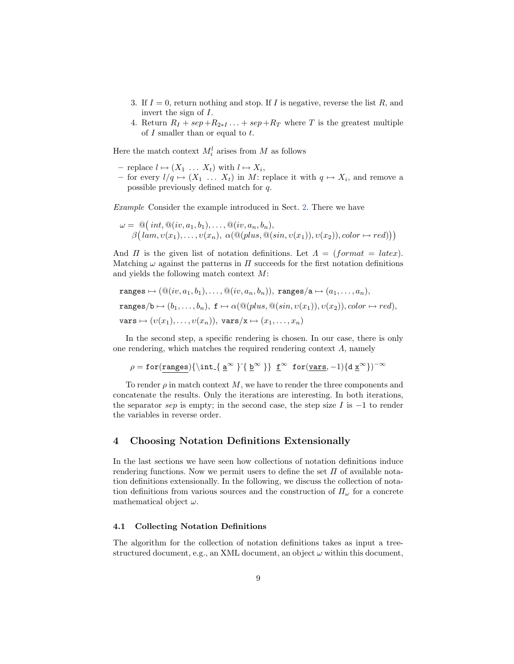- 3. If  $I = 0$ , return nothing and stop. If I is negative, reverse the list R, and invert the sign of I.
- 4. Return  $R_I + sep + R_{2*I} \ldots + sep + R_T$  where T is the greatest multiple of  $I$  smaller than or equal to  $t$ .

Here the match context  $M_i^l$  arises from M as follows

- replace  $l \mapsto (X_1 \ldots X_t)$  with  $l \mapsto X_i$ ,
- for every  $l/q$  →  $(X_1 \ldots X_t)$  in M: replace it with  $q \mapsto X_i$ , and remove a possible previously defined match for q.

Example Consider the example introduced in Sect. [2.](#page-2-0) There we have

$$
\omega = \mathcal{Q}(int, \mathcal{Q}(iv, a_1, b_1), \dots, \mathcal{Q}(iv, a_n, b_n),
$$
  

$$
\beta(lam, v(x_1), \dots, v(x_n), \alpha(\mathcal{Q}(plus, \mathcal{Q}(sin, v(x_1)), v(x_2)), color \mapsto red)))
$$

And  $\Pi$  is the given list of notation definitions. Let  $\Lambda = (format = later)$ . Matching  $\omega$  against the patterns in  $\Pi$  succeeds for the first notation definitions and yields the following match context M:

$$
\mathbf{ranges} \mapsto (\mathbf{Q}(iv, a_1, b_1), \dots, \mathbf{Q}(iv, a_n, b_n)), \mathbf{ ranges/a} \mapsto (a_1, \dots, a_n),
$$
  
\n
$$
\mathbf{ranges/b} \mapsto (b_1, \dots, b_n), \mathbf{f} \mapsto \alpha(\mathbf{Q}(plus, \mathbf{Q}(sin, v(x_1)), v(x_2)), color \mapsto red),
$$
  
\n
$$
\mathbf{vars} \mapsto (v(x_1), \dots, v(x_n)), \mathbf{vars/x} \mapsto (x_1, \dots, x_n)
$$

In the second step, a specific rendering is chosen. In our case, there is only one rendering, which matches the required rendering context  $\Lambda$ , namely

$$
\rho = \texttt{for}(\texttt{anges}) {\int_\texttt{a}^\infty } {\underline{b}^\infty } \} \underline{f}^\infty \texttt{for}(\underline{\texttt{vars}},-1){\underline{d} \underline{x}^\infty })^{-\infty}
$$

To render  $\rho$  in match context M, we have to render the three components and concatenate the results. Only the iterations are interesting. In both iterations, the separator sep is empty; in the second case, the step size  $I$  is  $-1$  to render the variables in reverse order.

## <span id="page-8-0"></span>4 Choosing Notation Definitions Extensionally

In the last sections we have seen how collections of notation definitions induce rendering functions. Now we permit users to define the set  $\Pi$  of available notation definitions extensionally. In the following, we discuss the collection of notation definitions from various sources and the construction of  $\Pi_\omega$  for a concrete mathematical object  $\omega$ .

#### 4.1 Collecting Notation Definitions

The algorithm for the collection of notation definitions takes as input a treestructured document, e.g., an XML document, an object  $\omega$  within this document,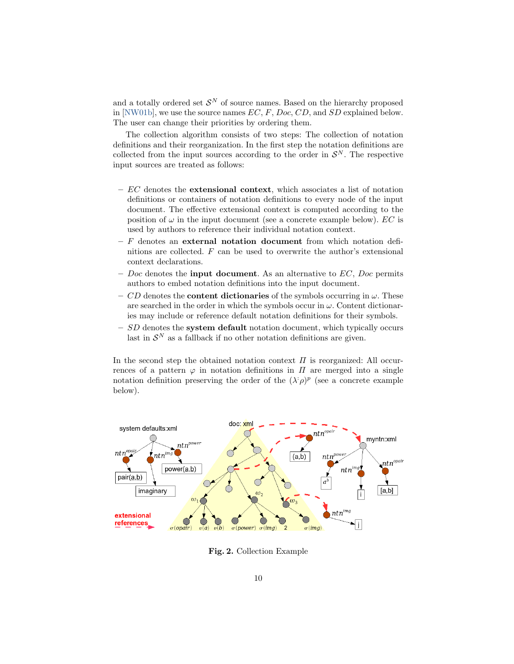and a totally ordered set  $S<sup>N</sup>$  of source names. Based on the hierarchy proposed in [\[NW01b\]](#page-15-9), we use the source names EC, F, Doc, CD, and SD explained below. The user can change their priorities by ordering them.

The collection algorithm consists of two steps: The collection of notation definitions and their reorganization. In the first step the notation definitions are collected from the input sources according to the order in  $\mathcal{S}^N$ . The respective input sources are treated as follows:

- $-EC$  denotes the **extensional context**, which associates a list of notation definitions or containers of notation definitions to every node of the input document. The effective extensional context is computed according to the position of  $\omega$  in the input document (see a concrete example below). EC is used by authors to reference their individual notation context.
- $-$  F denotes an external notation document from which notation definitions are collected.  $F$  can be used to overwrite the author's extensional context declarations.
- Doc denotes the **input document**. As an alternative to  $EC$ , Doc permits authors to embed notation definitions into the input document.
- CD denotes the **content dictionaries** of the symbols occurring in  $\omega$ . These are searched in the order in which the symbols occur in  $\omega$ . Content dictionaries may include or reference default notation definitions for their symbols.
- SD denotes the system default notation document, which typically occurs last in  $\mathcal{S}^N$  as a fallback if no other notation definitions are given.

In the second step the obtained notation context  $\Pi$  is reorganized: All occurrences of a pattern  $\varphi$  in notation definitions in  $\Pi$  are merged into a single notation definition preserving the order of the  $(\lambda^2 \rho)^p$  (see a concrete example below).



<span id="page-9-0"></span>Fig. 2. Collection Example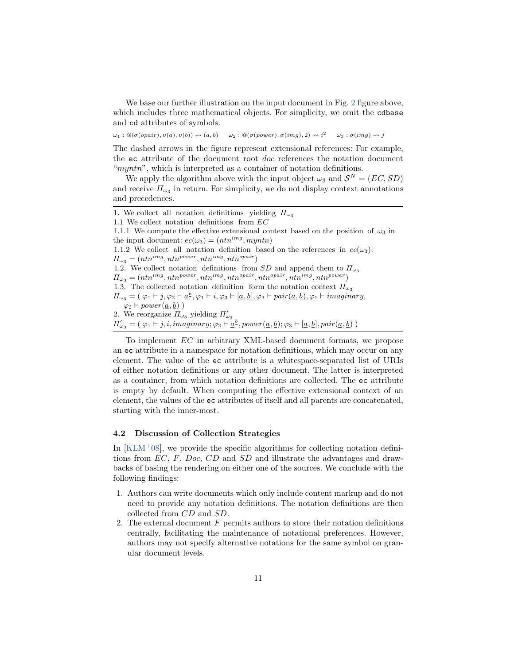We base our further illustration on the input document in Fig. [2](#page-9-0) figure above, which includes three mathematical objects. For simplicity, we omit the cdbase and cd attributes of symbols.

 $\omega_1 : \mathcal{Q}(\sigma(\text{opair}), v(a), v(b)) \rightsquigarrow (a, b)$  $\omega_2 : \mathcal{Q}(\sigma(power), \sigma(img), 2) \rightsquigarrow i^2 \quad \omega_3 : \sigma(img) \rightsquigarrow j$ 

The dashed arrows in the figure represent extensional references: For example, the ec attribute of the document root doc references the notation document "*myntn*", which is interpreted as a container of notation definitions.

We apply the algorithm above with the input object  $\omega_3$  and  $S^N = (EC, SD)$ and receive  $\Pi_{\omega_3}$  in return. For simplicity, we do not display context annotations and precedences.

1. We collect all notation definitions yielding  $\Pi_{\omega_3}$ 1.1 We collect notation definitions from EC 1.1.1 We compute the effective extensional context based on the position of  $\omega_3$  in the input document:  $ec(\omega_3) = (ntn^{img}, mynth)$ 1.1.2 We collect all notation definition based on the references in  $ec(\omega_3)$ :  $\Pi_{\omega_3} = (ntn^{img}, nth^{power}, nth^{img}, nth^{opair})$ 1.2. We collect notation definitions from SD and append them to  $\Pi_{\omega_3}$  $\Pi_{\omega_3} = (ntn^{img}, ntn^{power}, ntn^{img}, ntn^{opair}, ntn^{opair}, ntn^{img}, ntn^{power})$ 1.3. The collected notation definition form the notation context  $\Pi_{\omega_3}$  $\Pi_{\omega_3} = ( \varphi_1 \vdash j, \varphi_2 \vdash \underline{a}^{\underline{b}}, \varphi_1 \vdash i, \varphi_3 \vdash [\underline{a}, \underline{b}], \varphi_3 \vdash pair(\underline{a}, \underline{b}), \varphi_1 \vdash imaginary,$  $\varphi_2 \vdash power(\underline{a}, \underline{b})$ ) 2. We reorganize  $\Pi_{\omega_3}$  yielding  $\Pi_{\omega_3}'$  $\Pi_{\omega_3}^{\prime}=(\varphi_1 \vdash j, i, imaginary; \varphi_2 \vdash \underline{a}^{\underline{b}}, power(\underline{a}, \underline{b}); \varphi_3 \vdash [\underline{a}, \underline{b}], pair(\underline{a}, \underline{b})$ )

To implement EC in arbitrary XML-based document formats, we propose an ec attribute in a namespace for notation definitions, which may occur on any element. The value of the ec attribute is a whitespace-separated list of URIs of either notation definitions or any other document. The latter is interpreted as a container, from which notation definitions are collected. The ec attribute is empty by default. When computing the effective extensional context of an element, the values of the ec attributes of itself and all parents are concatenated, starting with the inner-most.

#### 4.2 Discussion of Collection Strategies

In  $[KLM+08]$  $[KLM+08]$ , we provide the specific algorithms for collecting notation definitions from  $EC$ ,  $F$ ,  $Doc$ ,  $CD$  and  $SD$  and illustrate the advantages and drawbacks of basing the rendering on either one of the sources. We conclude with the following findings:

- 1. Authors can write documents which only include content markup and do not need to provide any notation definitions. The notation definitions are then collected from CD and SD.
- 2. The external document  $F$  permits authors to store their notation definitions centrally, facilitating the maintenance of notational preferences. However, authors may not specify alternative notations for the same symbol on granular document levels.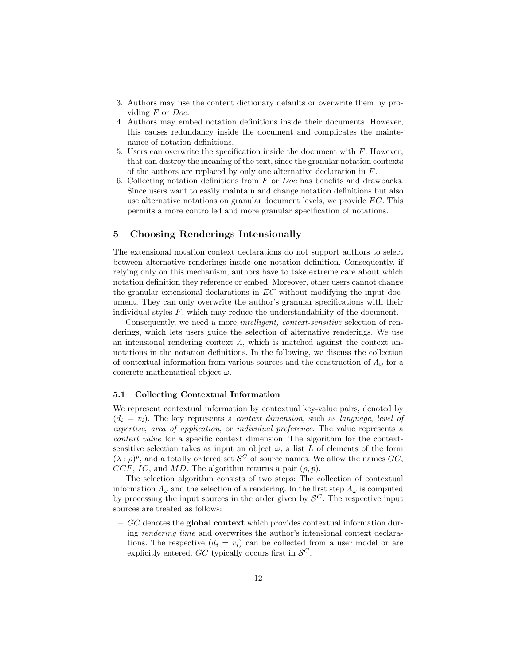- 3. Authors may use the content dictionary defaults or overwrite them by providing  $F$  or  $Doc$ .
- 4. Authors may embed notation definitions inside their documents. However, this causes redundancy inside the document and complicates the maintenance of notation definitions.
- 5. Users can overwrite the specification inside the document with  $F$ . However, that can destroy the meaning of the text, since the granular notation contexts of the authors are replaced by only one alternative declaration in F.
- 6. Collecting notation definitions from  $F$  or  $Doc$  has benefits and drawbacks. Since users want to easily maintain and change notation definitions but also use alternative notations on granular document levels, we provide EC. This permits a more controlled and more granular specification of notations.

## <span id="page-11-0"></span>5 Choosing Renderings Intensionally

The extensional notation context declarations do not support authors to select between alternative renderings inside one notation definition. Consequently, if relying only on this mechanism, authors have to take extreme care about which notation definition they reference or embed. Moreover, other users cannot change the granular extensional declarations in  $EC$  without modifying the input document. They can only overwrite the author's granular specifications with their individual styles  $F$ , which may reduce the understandability of the document.

Consequently, we need a more intelligent, context-sensitive selection of renderings, which lets users guide the selection of alternative renderings. We use an intensional rendering context  $\Lambda$ , which is matched against the context annotations in the notation definitions. In the following, we discuss the collection of contextual information from various sources and the construction of  $\Lambda_{\omega}$  for a concrete mathematical object  $\omega$ .

#### 5.1 Collecting Contextual Information

We represent contextual information by contextual key-value pairs, denoted by  $(d_i = v_i)$ . The key represents a *context dimension*, such as *language*, *level of* expertise, area of application, or individual preference. The value represents a context value for a specific context dimension. The algorithm for the contextsensitive selection takes as input an object  $\omega$ , a list L of elements of the form  $(\lambda : \rho)^p$ , and a totally ordered set  $\mathcal{S}^C$  of source names. We allow the names  $GC$ ,  $CCF, IC$ , and MD. The algorithm returns a pair  $(\rho, p)$ .

The selection algorithm consists of two steps: The collection of contextual information  $\Lambda_{\omega}$  and the selection of a rendering. In the first step  $\Lambda_{\omega}$  is computed by processing the input sources in the order given by  $\mathcal{S}^C$ . The respective input sources are treated as follows:

 $-GC$  denotes the **global context** which provides contextual information during rendering time and overwrites the author's intensional context declarations. The respective  $(d_i = v_i)$  can be collected from a user model or are explicitly entered. GC typically occurs first in  $\mathcal{S}^C$ .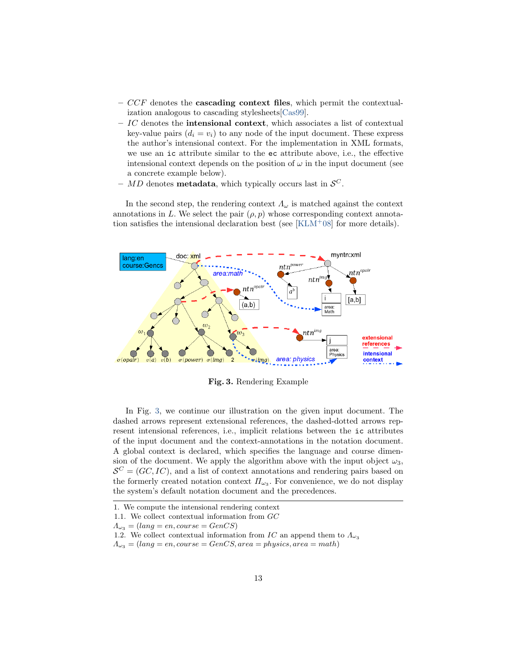- $-CCF$  denotes the **cascading context files**, which permit the contextualization analogous to cascading stylesheets[\[Cas99\]](#page-14-5).
- $-IC$  denotes the **intensional context**, which associates a list of contextual key-value pairs  $(d_i = v_i)$  to any node of the input document. These express the author's intensional context. For the implementation in XML formats, we use an ic attribute similar to the ec attribute above, i.e., the effective intensional context depends on the position of  $\omega$  in the input document (see a concrete example below).
- MD denotes **metadata**, which typically occurs last in  $\mathcal{S}^C$ .

In the second step, the rendering context  $\Lambda_{\omega}$  is matched against the context annotations in L. We select the pair  $(\rho, p)$  whose corresponding context annotation satisfies the intensional declaration best (see  $[KLM<sup>+</sup>08]$  $[KLM<sup>+</sup>08]$  for more details).



<span id="page-12-0"></span>Fig. 3. Rendering Example

In Fig. [3,](#page-12-0) we continue our illustration on the given input document. The dashed arrows represent extensional references, the dashed-dotted arrows represent intensional references, i.e., implicit relations between the ic attributes of the input document and the context-annotations in the notation document. A global context is declared, which specifies the language and course dimension of the document. We apply the algorithm above with the input object  $\omega_3$ ,  $\mathcal{S}^C = (GC, IC)$ , and a list of context annotations and rendering pairs based on the formerly created notation context  $\Pi_{\omega_3}$ . For convenience, we do not display the system's default notation document and the precedences.

- 1.1. We collect contextual information from GC
- $\Lambda_{\omega_3} = (lang = en, course = GenCS)$

1.2. We collect contextual information from 
$$
IC
$$
 an append them to  $\Lambda_{\omega_3}$ 

 $\Lambda_{\omega_3} = (lang = en, course = GenCS, area = physics, area = math)$ 

<sup>1.</sup> We compute the intensional rendering context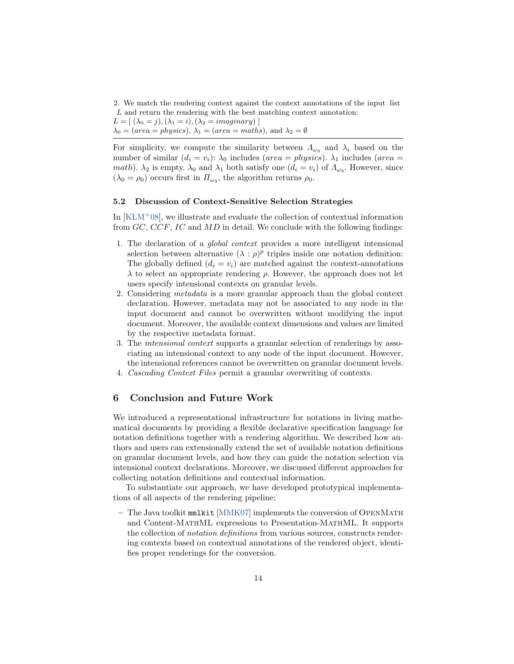2. We match the rendering context against the context annotations of the input list L and return the rendering with the best matching context annotation:  $L = [\ (\lambda_0 = i), (\lambda_1 = i), (\lambda_2 = imaginary) ]$  $\lambda_0 = (area = physics), \lambda_1 = (area = maths), \text{ and } \lambda_2 = \emptyset$ 

For simplicity, we compute the similarity between  $\Lambda_{\omega_3}$  and  $\lambda_i$  based on the number of similar  $(d_i = v_i)$ :  $\lambda_0$  includes (*area = physics*).  $\lambda_1$  includes (*area =* math).  $\lambda_2$  is empty.  $\lambda_0$  and  $\lambda_1$  both satisfy one  $(d_i = v_i)$  of  $\Lambda_{\omega_3}$ . However, since  $(\lambda_0 = \rho_0)$  occurs first in  $\Pi_{\omega_3}$ , the algorithm returns  $\rho_0$ .

#### <span id="page-13-0"></span>5.2 Discussion of Context-Sensitive Selection Strategies

In  $[KLM+08]$  $[KLM+08]$ , we illustrate and evaluate the collection of contextual information from  $GC$ ,  $CCF$ ,  $IC$  and  $MD$  in detail. We conclude with the following findings:

- 1. The declaration of a global context provides a more intelligent intensional selection between alternative  $(\lambda : \rho)^p$  triples inside one notation definition: The globally defined  $(d_i = v_i)$  are matched against the context-annotations λ to select an appropriate rendering ρ. However, the approach does not let users specify intensional contexts on granular levels.
- 2. Considering metadata is a more granular approach than the global context declaration. However, metadata may not be associated to any node in the input document and cannot be overwritten without modifying the input document. Moreover, the available context dimensions and values are limited by the respective metadata format.
- 3. The intensional context supports a granular selection of renderings by associating an intensional context to any node of the input document. However, the intensional references cannot be overwritten on granular document levels.
- 4. Cascading Context Files permit a granular overwriting of contexts.

## 6 Conclusion and Future Work

We introduced a representational infrastructure for notations in living mathematical documents by providing a flexible declarative specification language for notation definitions together with a rendering algorithm. We described how authors and users can extensionally extend the set of available notation definitions on granular document levels, and how they can guide the notation selection via intensional context declarations. Moreover, we discussed different approaches for collecting notation definitions and contextual information.

To substantiate our approach, we have developed prototypical implementations of all aspects of the rendering pipeline:

 $-$  The Java toolkit  $mm$ kit [\[MMK07\]](#page-15-10) implements the conversion of OPENMATH and Content-MathML expressions to Presentation-MathML. It supports the collection of notation definitions from various sources, constructs rendering contexts based on contextual annotations of the rendered object, identifies proper renderings for the conversion.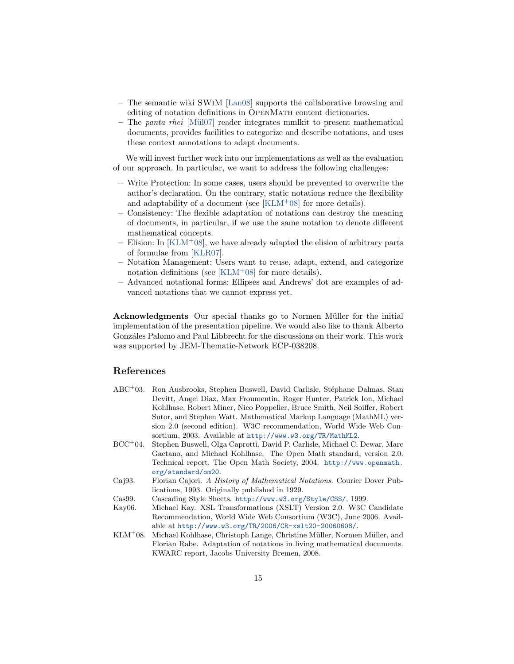- The semantic wiki SWiM [\[Lan08\]](#page-15-11) supports the collaborative browsing and editing of notation definitions in OPENMATH content dictionaries.
- $-$  The panta rhei [Mül07] reader integrates mmlkit to present mathematical documents, provides facilities to categorize and describe notations, and uses these context annotations to adapt documents.

We will invest further work into our implementations as well as the evaluation of our approach. In particular, we want to address the following challenges:

- Write Protection: In some cases, users should be prevented to overwrite the author's declaration. On the contrary, static notations reduce the flexibility and adaptability of a document (see  $\text{[KLM}^{+}08\text{]}$  $\text{[KLM}^{+}08\text{]}$  $\text{[KLM}^{+}08\text{]}$  for more details).
- Consistency: The flexible adaptation of notations can destroy the meaning of documents, in particular, if we use the same notation to denote different mathematical concepts.
- $-$  Elision: In [\[KLM](#page-14-4)<sup>+</sup>08], we have already adapted the elision of arbitrary parts of formulae from [\[KLR07\]](#page-15-5).
- Notation Management: Users want to reuse, adapt, extend, and categorize notation definitions (see  $\left[\text{KLM}^+08\right]$  for more details).
- Advanced notational forms: Ellipses and Andrews' dot are examples of advanced notations that we cannot express yet.

Acknowledgments Our special thanks go to Normen Müller for the initial implementation of the presentation pipeline. We would also like to thank Alberto Gonzáles Palomo and Paul Libbrecht for the discussions on their work. This work was supported by JEM-Thematic-Network ECP-038208.

## References

<span id="page-14-2"></span>

| ABC <sup>+</sup> 03. Ron Ausbrooks, Stephen Buswell, David Carlisle, Stéphane Dalmas, Stan |
|--------------------------------------------------------------------------------------------|
| Devitt, Angel Diaz, Max Froumentin, Roger Hunter, Patrick Ion, Michael                     |
| Kohlhase, Robert Miner, Nico Poppelier, Bruce Smith, Neil Soiffer, Robert                  |
| Sutor, and Stephen Watt. Mathematical Markup Language (MathML) ver-                        |
| sion 2.0 (second edition). W3C recommendation, World Wide Web Con-                         |
| sortium, 2003. Available at http://www.w3.org/TR/MathML2.                                  |
|                                                                                            |

- <span id="page-14-1"></span>BCC<sup>+</sup>04. Stephen Buswell, Olga Caprotti, David P. Carlisle, Michael C. Dewar, Marc Gaetano, and Michael Kohlhase. The Open Math standard, version 2.0. Technical report, The Open Math Society, 2004. [http://www.openmath.](http://www.openmath.org/standard/om20) [org/standard/om20](http://www.openmath.org/standard/om20).
- <span id="page-14-0"></span>Caj93. Florian Cajori. A History of Mathematical Notations. Courier Dover Publications, 1993. Originally published in 1929.
- <span id="page-14-5"></span>Cas99. Cascading Style Sheets. <http://www.w3.org/Style/CSS/>, 1999.<br>Kay06. Michael Kay. XSL Transformations (XSLT) Version 2.0. W3C
- <span id="page-14-3"></span>Michael Kay. XSL Transformations (XSLT) Version 2.0. W3C Candidate Recommendation, World Wide Web Consortium (W3C), June 2006. Available at <http://www.w3.org/TR/2006/CR-xslt20-20060608/>.
- <span id="page-14-4"></span>KLM<sup>+</sup>08. Michael Kohlhase, Christoph Lange, Christine Müller, Normen Müller, and Florian Rabe. Adaptation of notations in living mathematical documents. KWARC report, Jacobs University Bremen, 2008.